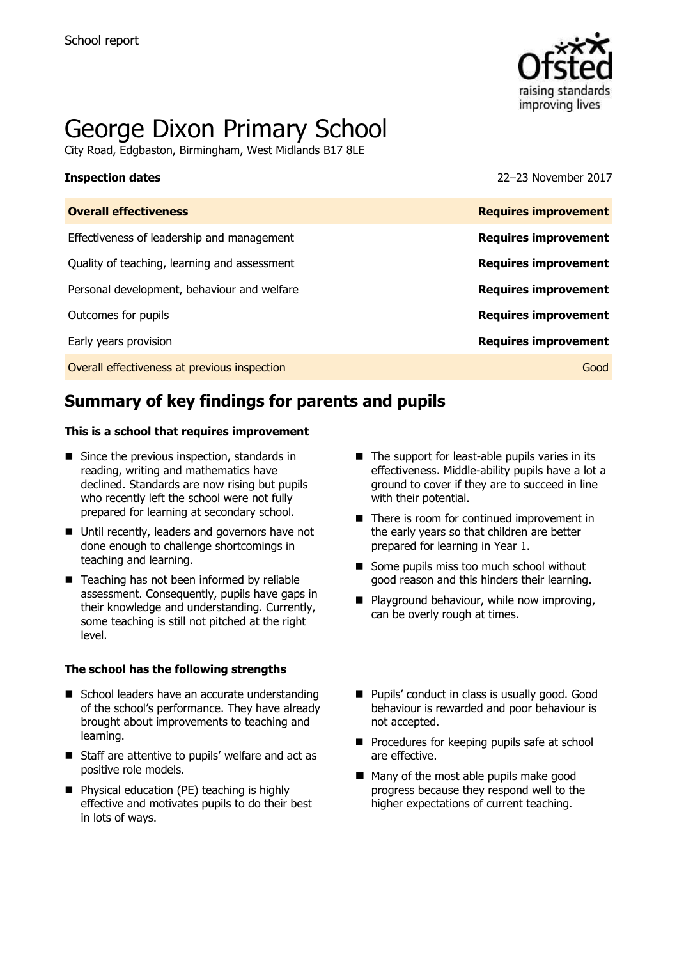

# George Dixon Primary School

City Road, Edgbaston, Birmingham, West Midlands B17 8LE

**Inspection dates** 22–23 November 2017

| <b>Overall effectiveness</b>                 | <b>Requires improvement</b> |
|----------------------------------------------|-----------------------------|
| Effectiveness of leadership and management   | <b>Requires improvement</b> |
| Quality of teaching, learning and assessment | <b>Requires improvement</b> |
| Personal development, behaviour and welfare  | <b>Requires improvement</b> |
| Outcomes for pupils                          | <b>Requires improvement</b> |
| Early years provision                        | <b>Requires improvement</b> |
| Overall effectiveness at previous inspection | Good                        |
|                                              |                             |

# **Summary of key findings for parents and pupils**

#### **This is a school that requires improvement**

- $\blacksquare$  Since the previous inspection, standards in reading, writing and mathematics have declined. Standards are now rising but pupils who recently left the school were not fully prepared for learning at secondary school.
- Until recently, leaders and governors have not done enough to challenge shortcomings in teaching and learning.
- Teaching has not been informed by reliable assessment. Consequently, pupils have gaps in their knowledge and understanding. Currently, some teaching is still not pitched at the right level.

#### **The school has the following strengths**

- School leaders have an accurate understanding of the school's performance. They have already brought about improvements to teaching and learning.
- Staff are attentive to pupils' welfare and act as positive role models.
- **Physical education (PE) teaching is highly** effective and motivates pupils to do their best in lots of ways.
- $\blacksquare$  The support for least-able pupils varies in its effectiveness. Middle-ability pupils have a lot a ground to cover if they are to succeed in line with their potential.
- There is room for continued improvement in the early years so that children are better prepared for learning in Year 1.
- Some pupils miss too much school without good reason and this hinders their learning.
- **Playground behaviour, while now improving,** can be overly rough at times.
- **Pupils' conduct in class is usually good. Good** behaviour is rewarded and poor behaviour is not accepted.
- **Procedures for keeping pupils safe at school** are effective.
- Many of the most able pupils make good progress because they respond well to the higher expectations of current teaching.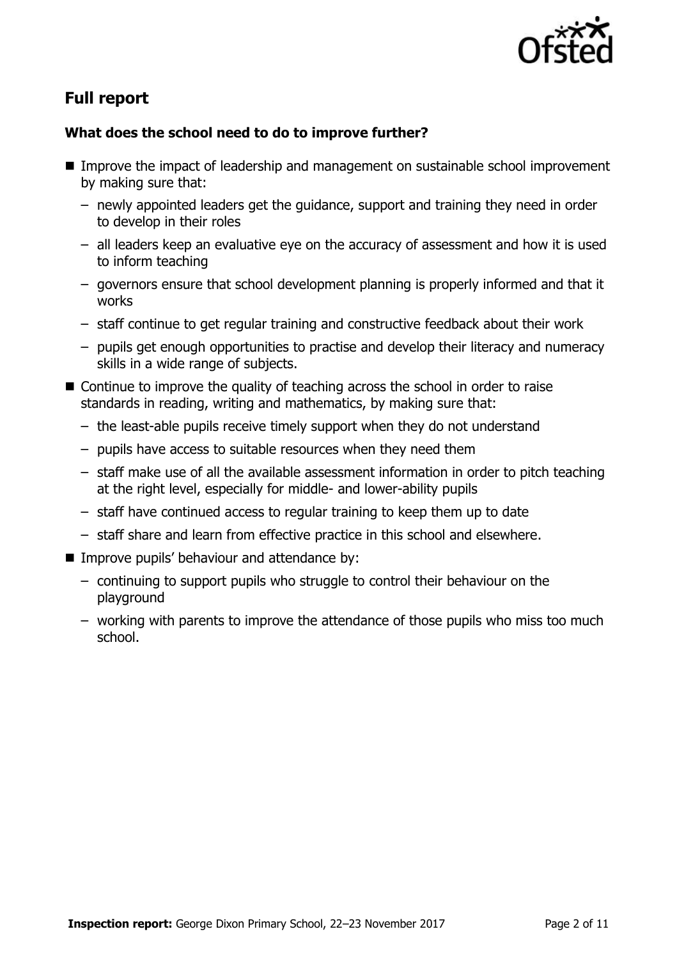

# **Full report**

### **What does the school need to do to improve further?**

- Improve the impact of leadership and management on sustainable school improvement by making sure that:
	- newly appointed leaders get the guidance, support and training they need in order to develop in their roles
	- all leaders keep an evaluative eye on the accuracy of assessment and how it is used to inform teaching
	- governors ensure that school development planning is properly informed and that it works
	- staff continue to get regular training and constructive feedback about their work
	- pupils get enough opportunities to practise and develop their literacy and numeracy skills in a wide range of subjects.
- Continue to improve the quality of teaching across the school in order to raise standards in reading, writing and mathematics, by making sure that:
	- the least-able pupils receive timely support when they do not understand
	- pupils have access to suitable resources when they need them
	- staff make use of all the available assessment information in order to pitch teaching at the right level, especially for middle- and lower-ability pupils
	- staff have continued access to regular training to keep them up to date
	- staff share and learn from effective practice in this school and elsewhere.
- **IMPROVE PUPILS' behaviour and attendance by:** 
	- continuing to support pupils who struggle to control their behaviour on the playground
	- working with parents to improve the attendance of those pupils who miss too much school.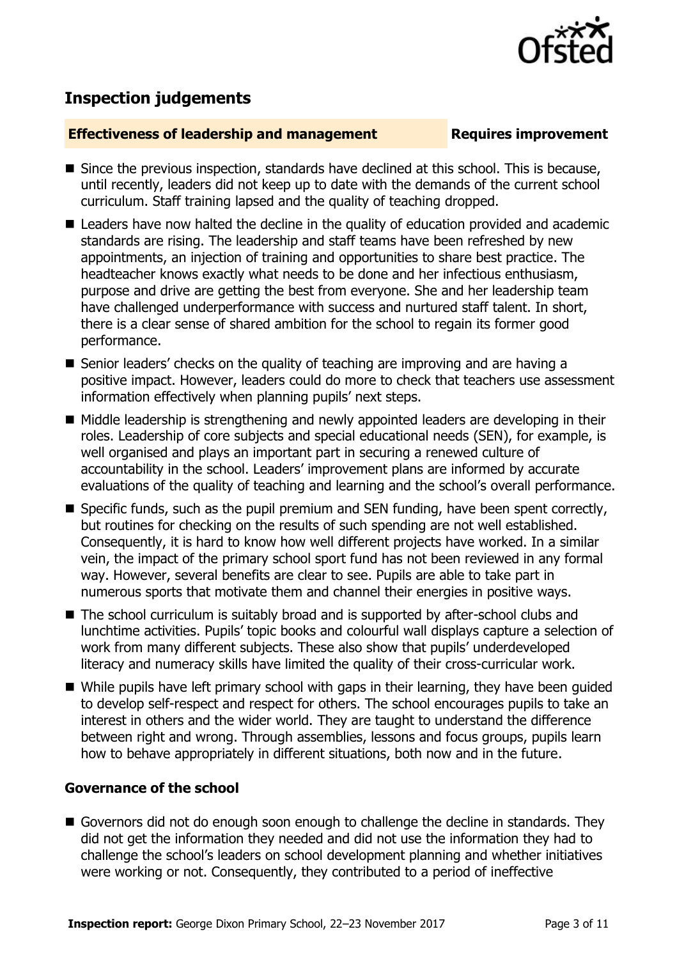# **Inspection judgements**

### **Effectiveness of leadership and management Requires improvement**

- Since the previous inspection, standards have declined at this school. This is because, until recently, leaders did not keep up to date with the demands of the current school curriculum. Staff training lapsed and the quality of teaching dropped.
- Leaders have now halted the decline in the quality of education provided and academic standards are rising. The leadership and staff teams have been refreshed by new appointments, an injection of training and opportunities to share best practice. The headteacher knows exactly what needs to be done and her infectious enthusiasm, purpose and drive are getting the best from everyone. She and her leadership team have challenged underperformance with success and nurtured staff talent. In short, there is a clear sense of shared ambition for the school to regain its former good performance.
- Senior leaders' checks on the quality of teaching are improving and are having a positive impact. However, leaders could do more to check that teachers use assessment information effectively when planning pupils' next steps.
- $\blacksquare$  Middle leadership is strengthening and newly appointed leaders are developing in their roles. Leadership of core subjects and special educational needs (SEN), for example, is well organised and plays an important part in securing a renewed culture of accountability in the school. Leaders' improvement plans are informed by accurate evaluations of the quality of teaching and learning and the school's overall performance.
- Specific funds, such as the pupil premium and SEN funding, have been spent correctly, but routines for checking on the results of such spending are not well established. Consequently, it is hard to know how well different projects have worked. In a similar vein, the impact of the primary school sport fund has not been reviewed in any formal way. However, several benefits are clear to see. Pupils are able to take part in numerous sports that motivate them and channel their energies in positive ways.
- The school curriculum is suitably broad and is supported by after-school clubs and lunchtime activities. Pupils' topic books and colourful wall displays capture a selection of work from many different subjects. These also show that pupils' underdeveloped literacy and numeracy skills have limited the quality of their cross-curricular work.
- While pupils have left primary school with gaps in their learning, they have been guided to develop self-respect and respect for others. The school encourages pupils to take an interest in others and the wider world. They are taught to understand the difference between right and wrong. Through assemblies, lessons and focus groups, pupils learn how to behave appropriately in different situations, both now and in the future.

### **Governance of the school**

Governors did not do enough soon enough to challenge the decline in standards. They did not get the information they needed and did not use the information they had to challenge the school's leaders on school development planning and whether initiatives were working or not. Consequently, they contributed to a period of ineffective

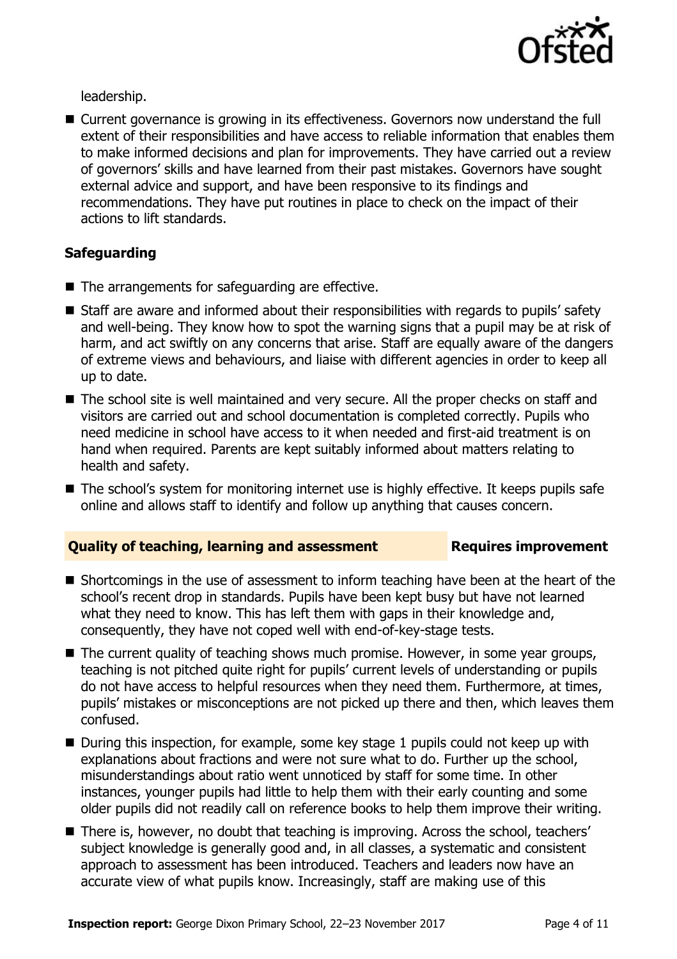

leadership.

■ Current governance is growing in its effectiveness. Governors now understand the full extent of their responsibilities and have access to reliable information that enables them to make informed decisions and plan for improvements. They have carried out a review of governors' skills and have learned from their past mistakes. Governors have sought external advice and support, and have been responsive to its findings and recommendations. They have put routines in place to check on the impact of their actions to lift standards.

## **Safeguarding**

- The arrangements for safeguarding are effective.
- Staff are aware and informed about their responsibilities with regards to pupils' safety and well-being. They know how to spot the warning signs that a pupil may be at risk of harm, and act swiftly on any concerns that arise. Staff are equally aware of the dangers of extreme views and behaviours, and liaise with different agencies in order to keep all up to date.
- The school site is well maintained and very secure. All the proper checks on staff and visitors are carried out and school documentation is completed correctly. Pupils who need medicine in school have access to it when needed and first-aid treatment is on hand when required. Parents are kept suitably informed about matters relating to health and safety.
- The school's system for monitoring internet use is highly effective. It keeps pupils safe online and allows staff to identify and follow up anything that causes concern.

### **Quality of teaching, learning and assessment Requires improvement**

- Shortcomings in the use of assessment to inform teaching have been at the heart of the school's recent drop in standards. Pupils have been kept busy but have not learned what they need to know. This has left them with gaps in their knowledge and, consequently, they have not coped well with end-of-key-stage tests.
- The current quality of teaching shows much promise. However, in some year groups, teaching is not pitched quite right for pupils' current levels of understanding or pupils do not have access to helpful resources when they need them. Furthermore, at times, pupils' mistakes or misconceptions are not picked up there and then, which leaves them confused.
- $\blacksquare$  During this inspection, for example, some key stage 1 pupils could not keep up with explanations about fractions and were not sure what to do. Further up the school, misunderstandings about ratio went unnoticed by staff for some time. In other instances, younger pupils had little to help them with their early counting and some older pupils did not readily call on reference books to help them improve their writing.
- There is, however, no doubt that teaching is improving. Across the school, teachers' subject knowledge is generally good and, in all classes, a systematic and consistent approach to assessment has been introduced. Teachers and leaders now have an accurate view of what pupils know. Increasingly, staff are making use of this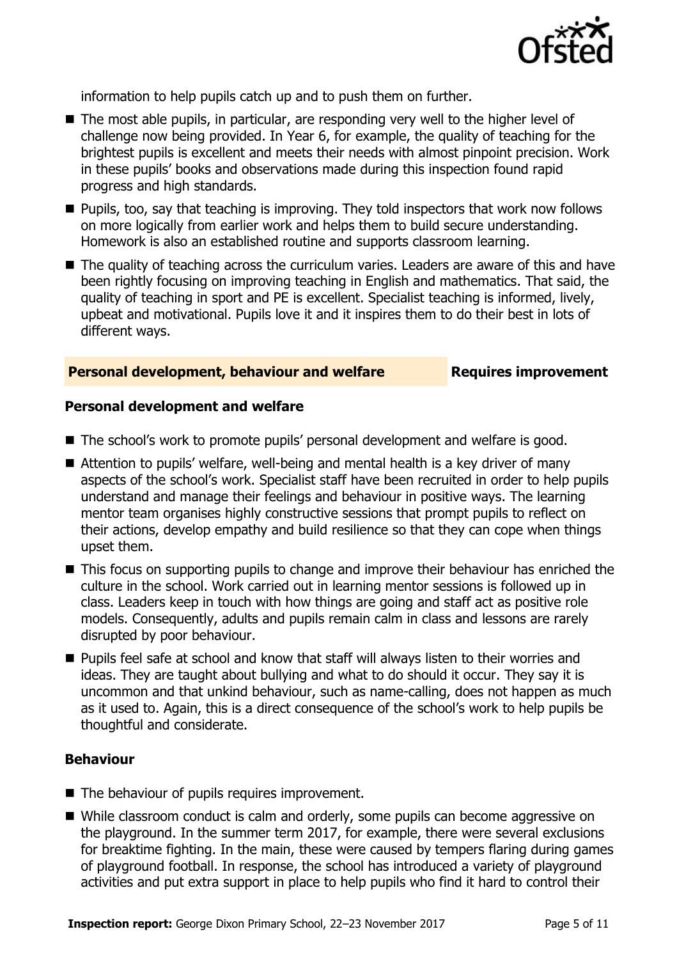

information to help pupils catch up and to push them on further.

- The most able pupils, in particular, are responding very well to the higher level of challenge now being provided. In Year 6, for example, the quality of teaching for the brightest pupils is excellent and meets their needs with almost pinpoint precision. Work in these pupils' books and observations made during this inspection found rapid progress and high standards.
- Pupils, too, say that teaching is improving. They told inspectors that work now follows on more logically from earlier work and helps them to build secure understanding. Homework is also an established routine and supports classroom learning.
- The quality of teaching across the curriculum varies. Leaders are aware of this and have been rightly focusing on improving teaching in English and mathematics. That said, the quality of teaching in sport and PE is excellent. Specialist teaching is informed, lively, upbeat and motivational. Pupils love it and it inspires them to do their best in lots of different ways.

#### **Personal development, behaviour and welfare Fig. 2.1 Requires improvement**

#### **Personal development and welfare**

- The school's work to promote pupils' personal development and welfare is good.
- Attention to pupils' welfare, well-being and mental health is a key driver of many aspects of the school's work. Specialist staff have been recruited in order to help pupils understand and manage their feelings and behaviour in positive ways. The learning mentor team organises highly constructive sessions that prompt pupils to reflect on their actions, develop empathy and build resilience so that they can cope when things upset them.
- This focus on supporting pupils to change and improve their behaviour has enriched the culture in the school. Work carried out in learning mentor sessions is followed up in class. Leaders keep in touch with how things are going and staff act as positive role models. Consequently, adults and pupils remain calm in class and lessons are rarely disrupted by poor behaviour.
- **Pupils feel safe at school and know that staff will always listen to their worries and** ideas. They are taught about bullying and what to do should it occur. They say it is uncommon and that unkind behaviour, such as name-calling, does not happen as much as it used to. Again, this is a direct consequence of the school's work to help pupils be thoughtful and considerate.

#### **Behaviour**

- The behaviour of pupils requires improvement.
- While classroom conduct is calm and orderly, some pupils can become aggressive on the playground. In the summer term 2017, for example, there were several exclusions for breaktime fighting. In the main, these were caused by tempers flaring during games of playground football. In response, the school has introduced a variety of playground activities and put extra support in place to help pupils who find it hard to control their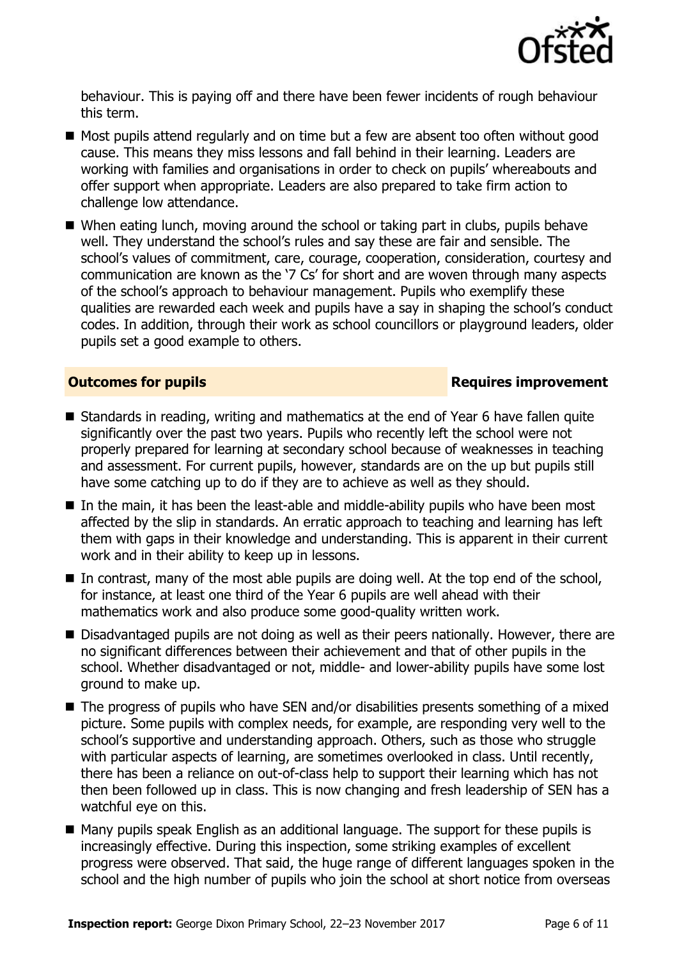

behaviour. This is paying off and there have been fewer incidents of rough behaviour this term.

- Most pupils attend regularly and on time but a few are absent too often without good cause. This means they miss lessons and fall behind in their learning. Leaders are working with families and organisations in order to check on pupils' whereabouts and offer support when appropriate. Leaders are also prepared to take firm action to challenge low attendance.
- When eating lunch, moving around the school or taking part in clubs, pupils behave well. They understand the school's rules and say these are fair and sensible. The school's values of commitment, care, courage, cooperation, consideration, courtesy and communication are known as the '7 Cs' for short and are woven through many aspects of the school's approach to behaviour management. Pupils who exemplify these qualities are rewarded each week and pupils have a say in shaping the school's conduct codes. In addition, through their work as school councillors or playground leaders, older pupils set a good example to others.

#### **Outcomes for pupils Requires improvement**

- Standards in reading, writing and mathematics at the end of Year 6 have fallen quite significantly over the past two years. Pupils who recently left the school were not properly prepared for learning at secondary school because of weaknesses in teaching and assessment. For current pupils, however, standards are on the up but pupils still have some catching up to do if they are to achieve as well as they should.
- $\blacksquare$  In the main, it has been the least-able and middle-ability pupils who have been most affected by the slip in standards. An erratic approach to teaching and learning has left them with gaps in their knowledge and understanding. This is apparent in their current work and in their ability to keep up in lessons.
- $\blacksquare$  In contrast, many of the most able pupils are doing well. At the top end of the school, for instance, at least one third of the Year 6 pupils are well ahead with their mathematics work and also produce some good-quality written work.
- Disadvantaged pupils are not doing as well as their peers nationally. However, there are no significant differences between their achievement and that of other pupils in the school. Whether disadvantaged or not, middle- and lower-ability pupils have some lost ground to make up.
- The progress of pupils who have SEN and/or disabilities presents something of a mixed picture. Some pupils with complex needs, for example, are responding very well to the school's supportive and understanding approach. Others, such as those who struggle with particular aspects of learning, are sometimes overlooked in class. Until recently, there has been a reliance on out-of-class help to support their learning which has not then been followed up in class. This is now changing and fresh leadership of SEN has a watchful eye on this.
- Many pupils speak English as an additional language. The support for these pupils is increasingly effective. During this inspection, some striking examples of excellent progress were observed. That said, the huge range of different languages spoken in the school and the high number of pupils who join the school at short notice from overseas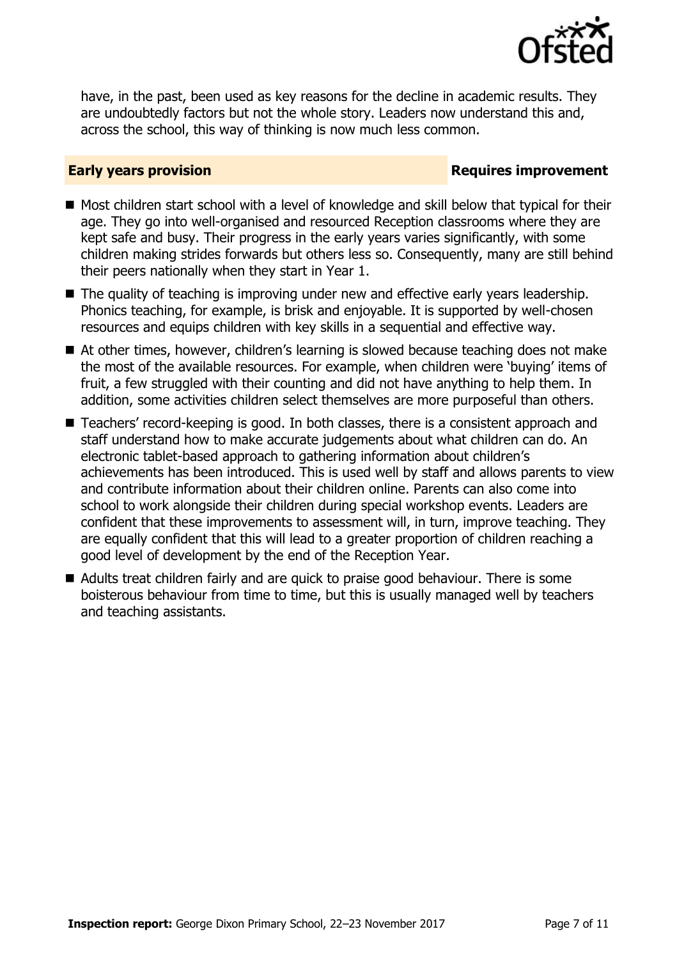

have, in the past, been used as key reasons for the decline in academic results. They are undoubtedly factors but not the whole story. Leaders now understand this and, across the school, this way of thinking is now much less common.

### **Early years provision Requires improvement**

- Most children start school with a level of knowledge and skill below that typical for their age. They go into well-organised and resourced Reception classrooms where they are kept safe and busy. Their progress in the early years varies significantly, with some children making strides forwards but others less so. Consequently, many are still behind their peers nationally when they start in Year 1.
- The quality of teaching is improving under new and effective early years leadership. Phonics teaching, for example, is brisk and enjoyable. It is supported by well-chosen resources and equips children with key skills in a sequential and effective way.
- At other times, however, children's learning is slowed because teaching does not make the most of the available resources. For example, when children were 'buying' items of fruit, a few struggled with their counting and did not have anything to help them. In addition, some activities children select themselves are more purposeful than others.
- Teachers' record-keeping is good. In both classes, there is a consistent approach and staff understand how to make accurate judgements about what children can do. An electronic tablet-based approach to gathering information about children's achievements has been introduced. This is used well by staff and allows parents to view and contribute information about their children online. Parents can also come into school to work alongside their children during special workshop events. Leaders are confident that these improvements to assessment will, in turn, improve teaching. They are equally confident that this will lead to a greater proportion of children reaching a good level of development by the end of the Reception Year.
- Adults treat children fairly and are quick to praise good behaviour. There is some boisterous behaviour from time to time, but this is usually managed well by teachers and teaching assistants.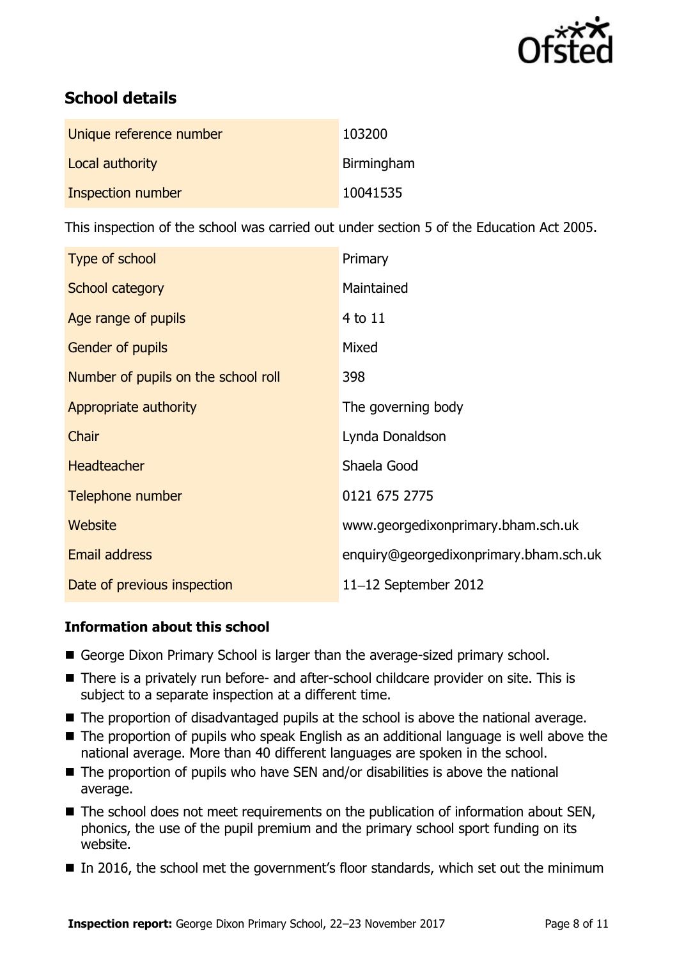

# **School details**

| Unique reference number | 103200     |
|-------------------------|------------|
| Local authority         | Birmingham |
| Inspection number       | 10041535   |

This inspection of the school was carried out under section 5 of the Education Act 2005.

| Type of school                      | Primary                                |
|-------------------------------------|----------------------------------------|
| School category                     | Maintained                             |
| Age range of pupils                 | 4 to 11                                |
| Gender of pupils                    | Mixed                                  |
| Number of pupils on the school roll | 398                                    |
| Appropriate authority               | The governing body                     |
| Chair                               | Lynda Donaldson                        |
| <b>Headteacher</b>                  | Shaela Good                            |
| Telephone number                    | 0121 675 2775                          |
| Website                             | www.georgedixonprimary.bham.sch.uk     |
| <b>Email address</b>                | enquiry@georgedixonprimary.bham.sch.uk |
| Date of previous inspection         | $11-12$ September 2012                 |

### **Information about this school**

- George Dixon Primary School is larger than the average-sized primary school.
- There is a privately run before- and after-school childcare provider on site. This is subject to a separate inspection at a different time.
- The proportion of disadvantaged pupils at the school is above the national average.
- The proportion of pupils who speak English as an additional language is well above the national average. More than 40 different languages are spoken in the school.
- The proportion of pupils who have SEN and/or disabilities is above the national average.
- The school does not meet requirements on the publication of information about SEN, phonics, the use of the pupil premium and the primary school sport funding on its website.
- In 2016, the school met the government's floor standards, which set out the minimum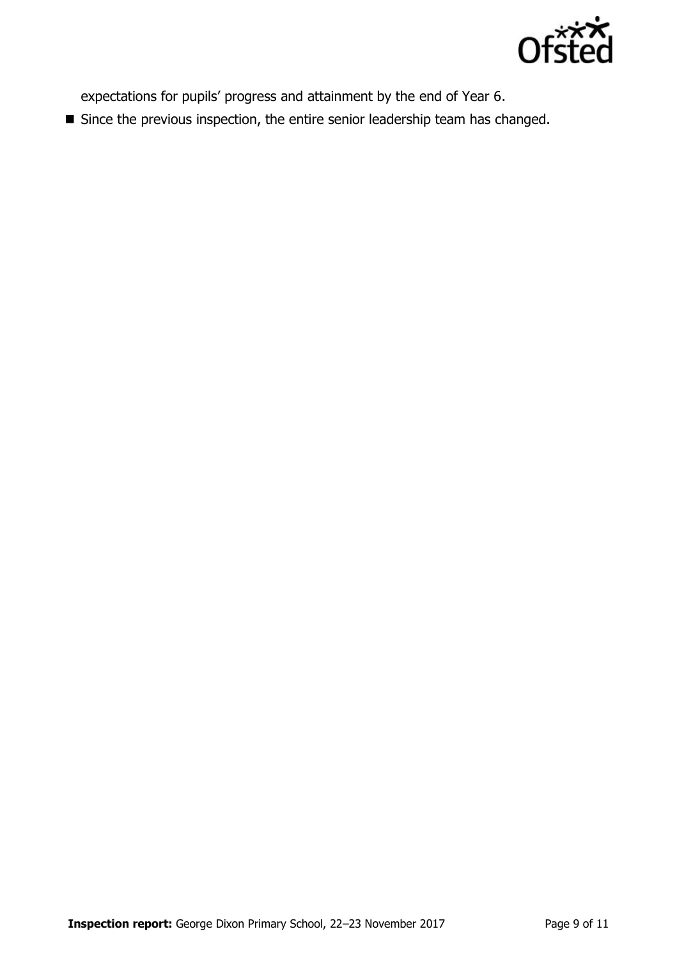

expectations for pupils' progress and attainment by the end of Year 6.

Since the previous inspection, the entire senior leadership team has changed.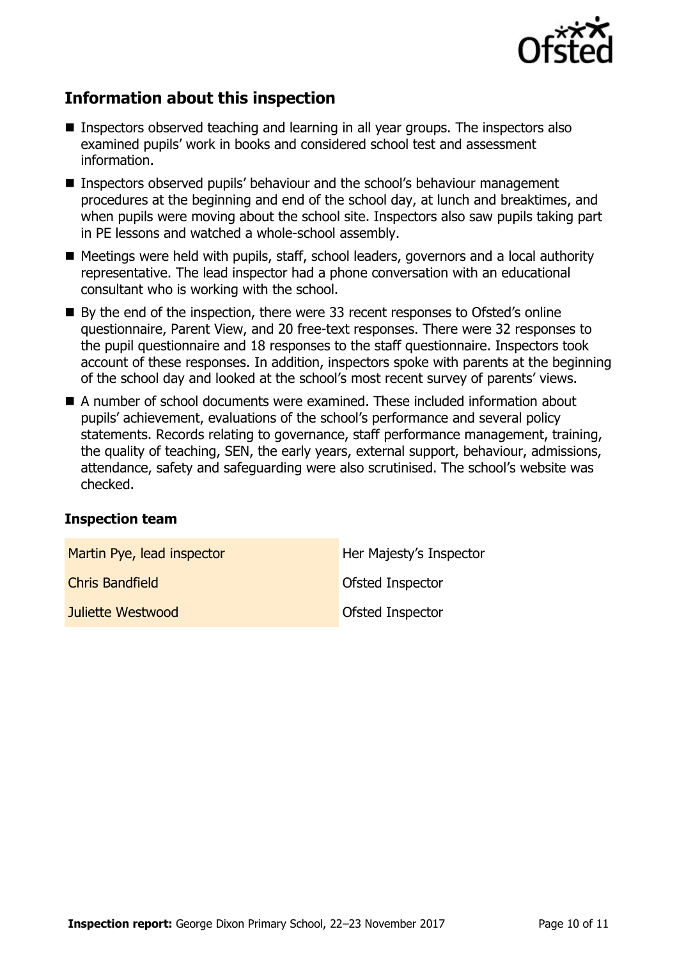

# **Information about this inspection**

- Inspectors observed teaching and learning in all year groups. The inspectors also examined pupils' work in books and considered school test and assessment information.
- Inspectors observed pupils' behaviour and the school's behaviour management procedures at the beginning and end of the school day, at lunch and breaktimes, and when pupils were moving about the school site. Inspectors also saw pupils taking part in PE lessons and watched a whole-school assembly.
- Meetings were held with pupils, staff, school leaders, governors and a local authority representative. The lead inspector had a phone conversation with an educational consultant who is working with the school.
- By the end of the inspection, there were 33 recent responses to Ofsted's online questionnaire, Parent View, and 20 free-text responses. There were 32 responses to the pupil questionnaire and 18 responses to the staff questionnaire. Inspectors took account of these responses. In addition, inspectors spoke with parents at the beginning of the school day and looked at the school's most recent survey of parents' views.
- A number of school documents were examined. These included information about pupils' achievement, evaluations of the school's performance and several policy statements. Records relating to governance, staff performance management, training, the quality of teaching, SEN, the early years, external support, behaviour, admissions, attendance, safety and safeguarding were also scrutinised. The school's website was checked.

#### **Inspection team**

| Martin Pye, lead inspector | Her Majesty's Inspector |
|----------------------------|-------------------------|
| <b>Chris Bandfield</b>     | Ofsted Inspector        |
| Juliette Westwood          | <b>Ofsted Inspector</b> |